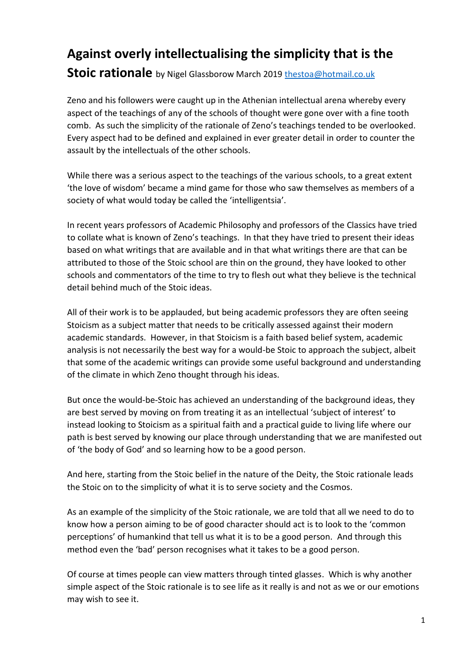## **Against overly intellectualising the simplicity that is the Stoic rationale** by Nigel Glassborow March 2019 thestoa@hotmail.co.uk

Zeno and his followers were caught up in the Athenian intellectual arena whereby every aspect of the teachings of any of the schools of thought were gone over with a fine tooth comb. As such the simplicity of the rationale of Zeno's teachings tended to be overlooked. Every aspect had to be defined and explained in ever greater detail in order to counter the assault by the intellectuals of the other schools.

While there was a serious aspect to the teachings of the various schools, to a great extent 'the love of wisdom' became a mind game for those who saw themselves as members of a society of what would today be called the 'intelligentsia'.

In recent years professors of Academic Philosophy and professors of the Classics have tried to collate what is known of Zeno's teachings. In that they have tried to present their ideas based on what writings that are available and in that what writings there are that can be attributed to those of the Stoic school are thin on the ground, they have looked to other schools and commentators of the time to try to flesh out what they believe is the technical detail behind much of the Stoic ideas.

All of their work is to be applauded, but being academic professors they are often seeing Stoicism as a subject matter that needs to be critically assessed against their modern academic standards. However, in that Stoicism is a faith based belief system, academic analysis is not necessarily the best way for a would-be Stoic to approach the subject, albeit that some of the academic writings can provide some useful background and understanding of the climate in which Zeno thought through his ideas.

But once the would-be-Stoic has achieved an understanding of the background ideas, they are best served by moving on from treating it as an intellectual 'subject of interest' to instead looking to Stoicism as a spiritual faith and a practical guide to living life where our path is best served by knowing our place through understanding that we are manifested out of 'the body of God' and so learning how to be a good person.

And here, starting from the Stoic belief in the nature of the Deity, the Stoic rationale leads the Stoic on to the simplicity of what it is to serve society and the Cosmos.

As an example of the simplicity of the Stoic rationale, we are told that all we need to do to know how a person aiming to be of good character should act is to look to the 'common perceptions' of humankind that tell us what it is to be a good person. And through this method even the 'bad' person recognises what it takes to be a good person.

Of course at times people can view matters through tinted glasses. Which is why another simple aspect of the Stoic rationale is to see life as it really is and not as we or our emotions may wish to see it.